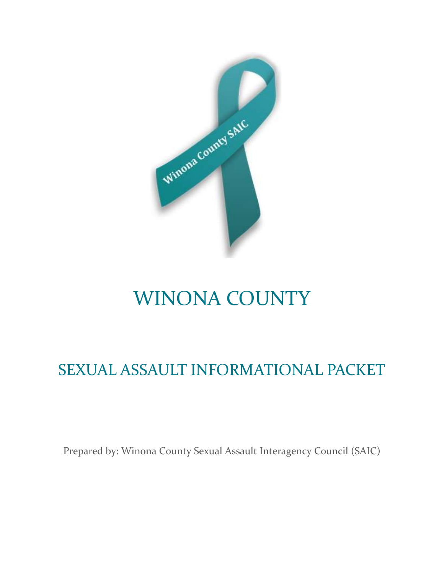

# WINONA COUNTY

# SEXUAL ASSAULT INFORMATIONAL PACKET

Prepared by: Winona County Sexual Assault Interagency Council (SAIC)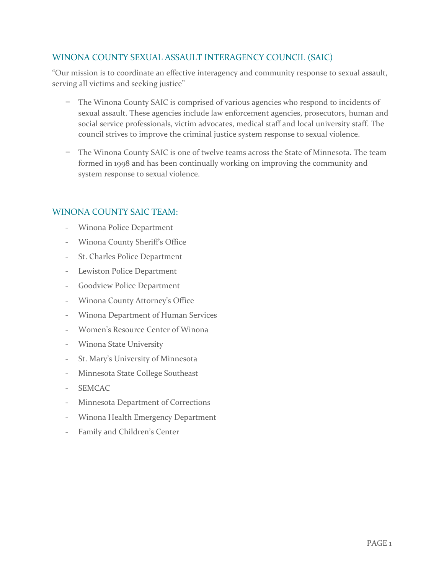#### WINONA COUNTY SEXUAL ASSAULT INTERAGENCY COUNCIL (SAIC)

"Our mission is to coordinate an effective interagency and community response to sexual assault, serving all victims and seeking justice"

- − The Winona County SAIC is comprised of various agencies who respond to incidents of sexual assault. These agencies include law enforcement agencies, prosecutors, human and social service professionals, victim advocates, medical staff and local university staff. The council strives to improve the criminal justice system response to sexual violence.
- The Winona County SAIC is one of twelve teams across the State of Minnesota. The team formed in 1998 and has been continually working on improving the community and system response to sexual violence.

#### WINONA COUNTY SAIC TEAM:

- Winona Police Department
- Winona County Sheriff's Office
- St. Charles Police Department
- Lewiston Police Department
- Goodview Police Department
- Winona County Attorney's Office
- Winona Department of Human Services
- Women's Resource Center of Winona
- Winona State University
- St. Mary's University of Minnesota
- Minnesota State College Southeast
- SEMCAC
- Minnesota Department of Corrections
- Winona Health Emergency Department
- Family and Children's Center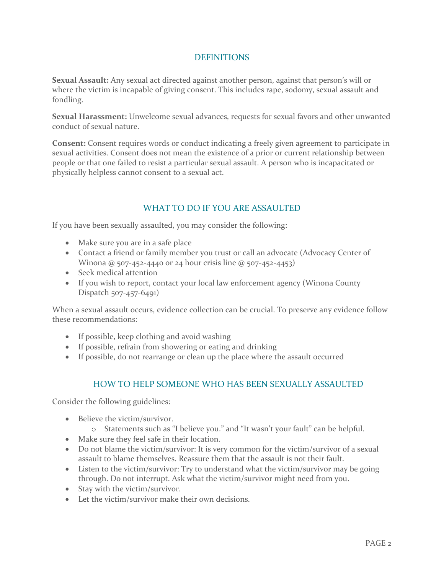#### **DEFINITIONS**

**Sexual Assault:** Any sexual act directed against another person, against that person's will or where the victim is incapable of giving consent. This includes rape, sodomy, sexual assault and fondling.

**Sexual Harassment:** Unwelcome sexual advances, requests for sexual favors and other unwanted conduct of sexual nature.

**Consent:** Consent requires words or conduct indicating a freely given agreement to participate in sexual activities. Consent does not mean the existence of a prior or current relationship between people or that one failed to resist a particular sexual assault. A person who is incapacitated or physically helpless cannot consent to a sexual act.

#### WHAT TO DO IF YOU ARE ASSAULTED

If you have been sexually assaulted, you may consider the following:

- Make sure you are in a safe place
- Contact a friend or family member you trust or call an advocate (Advocacy Center of Winona @ 507-452-4440 or 24 hour crisis line @ 507-452-4453)
- Seek medical attention
- If you wish to report, contact your local law enforcement agency (Winona County Dispatch 507-457-6491)

When a sexual assault occurs, evidence collection can be crucial. To preserve any evidence follow these recommendations:

- If possible, keep clothing and avoid washing
- If possible, refrain from showering or eating and drinking
- If possible, do not rearrange or clean up the place where the assault occurred

#### HOW TO HELP SOMEONE WHO HAS BEEN SEXUALLY ASSAULTED

Consider the following guidelines:

- Believe the victim/survivor.
	- o Statements such as "I believe you." and "It wasn't your fault" can be helpful.
- Make sure they feel safe in their location.
- Do not blame the victim/survivor: It is very common for the victim/survivor of a sexual assault to blame themselves. Reassure them that the assault is not their fault.
- Listen to the victim/survivor: Try to understand what the victim/survivor may be going through. Do not interrupt. Ask what the victim/survivor might need from you.
- Stay with the victim/survivor.
- Let the victim/survivor make their own decisions.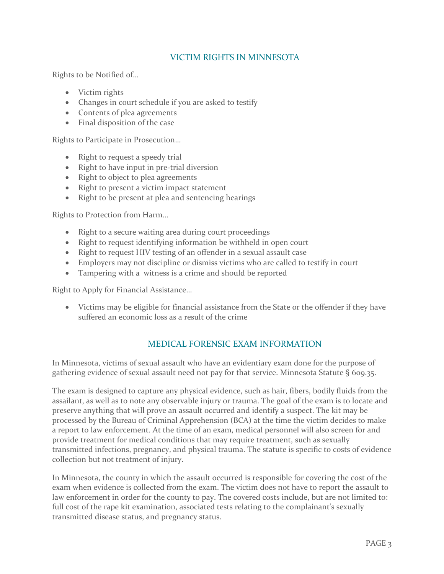#### VICTIM RIGHTS IN MINNESOTA

Rights to be Notified of…

- Victim rights
- Changes in court schedule if you are asked to testify
- Contents of plea agreements
- Final disposition of the case

Rights to Participate in Prosecution…

- Right to request a speedy trial
- Right to have input in pre-trial diversion
- Right to object to plea agreements
- Right to present a victim impact statement
- Right to be present at plea and sentencing hearings

Rights to Protection from Harm…

- Right to a secure waiting area during court proceedings
- Right to request identifying information be withheld in open court
- Right to request HIV testing of an offender in a sexual assault case
- Employers may not discipline or dismiss victims who are called to testify in court
- Tampering with a witness is a crime and should be reported

Right to Apply for Financial Assistance…

 Victims may be eligible for financial assistance from the State or the offender if they have suffered an economic loss as a result of the crime

#### MEDICAL FORENSIC EXAM INFORMATION

In Minnesota, victims of sexual assault who have an evidentiary exam done for the purpose of gathering evidence of sexual assault need not pay for that service. Minnesota Statute § 609.35.

The exam is designed to capture any physical evidence, such as hair, fibers, bodily fluids from the assailant, as well as to note any observable injury or trauma. The goal of the exam is to locate and preserve anything that will prove an assault occurred and identify a suspect. The kit may be processed by the Bureau of Criminal Apprehension (BCA) at the time the victim decides to make a report to law enforcement. At the time of an exam, medical personnel will also screen for and provide treatment for medical conditions that may require treatment, such as sexually transmitted infections, pregnancy, and physical trauma. The statute is specific to costs of evidence collection but not treatment of injury.

In Minnesota, the county in which the assault occurred is responsible for covering the cost of the exam when evidence is collected from the exam. The victim does not have to report the assault to law enforcement in order for the county to pay. The covered costs include, but are not limited to: full cost of the rape kit examination, associated tests relating to the complainant's sexually transmitted disease status, and pregnancy status.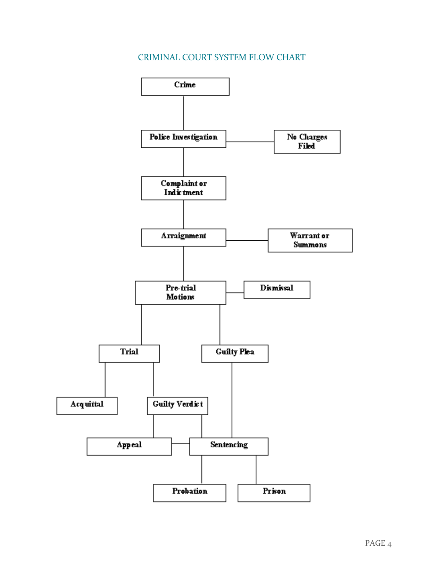### CRIMINAL COURT SYSTEM FLOW CHART

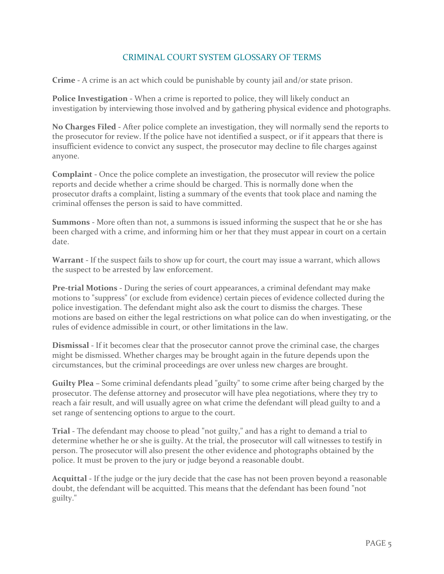#### CRIMINAL COURT SYSTEM GLOSSARY OF TERMS

**Crime -** A crime is an act which could be punishable by county jail and/or state prison.

**Police Investigation -** When a crime is reported to police, they will likely conduct an investigation by interviewing those involved and by gathering physical evidence and photographs.

**No Charges Filed -** After police complete an investigation, they will normally send the reports to the prosecutor for review. If the police have not identified a suspect, or if it appears that there is insufficient evidence to convict any suspect, the prosecutor may decline to file charges against anyone.

**Complaint -** Once the police complete an investigation, the prosecutor will review the police reports and decide whether a crime should be charged. This is normally done when the prosecutor drafts a complaint, listing a summary of the events that took place and naming the criminal offenses the person is said to have committed.

**Summons -** More often than not, a summons is issued informing the suspect that he or she has been charged with a crime, and informing him or her that they must appear in court on a certain date.

**Warrant -** If the suspect fails to show up for court, the court may issue a warrant, which allows the suspect to be arrested by law enforcement.

**Pre-trial Motions -** During the series of court appearances, a criminal defendant may make motions to "suppress" (or exclude from evidence) certain pieces of evidence collected during the police investigation. The defendant might also ask the court to dismiss the charges. These motions are based on either the legal restrictions on what police can do when investigating, or the rules of evidence admissible in court, or other limitations in the law.

**Dismissal -** If it becomes clear that the prosecutor cannot prove the criminal case, the charges might be dismissed. Whether charges may be brought again in the future depends upon the circumstances, but the criminal proceedings are over unless new charges are brought.

**Guilty Plea –** Some criminal defendants plead "guilty" to some crime after being charged by the prosecutor. The defense attorney and prosecutor will have plea negotiations, where they try to reach a fair result, and will usually agree on what crime the defendant will plead guilty to and a set range of sentencing options to argue to the court.

**Trial -** The defendant may choose to plead "not guilty," and has a right to demand a trial to determine whether he or she is guilty. At the trial, the prosecutor will call witnesses to testify in person. The prosecutor will also present the other evidence and photographs obtained by the police. It must be proven to the jury or judge beyond a reasonable doubt.

**Acquittal -** If the judge or the jury decide that the case has not been proven beyond a reasonable doubt, the defendant will be acquitted. This means that the defendant has been found "not guilty."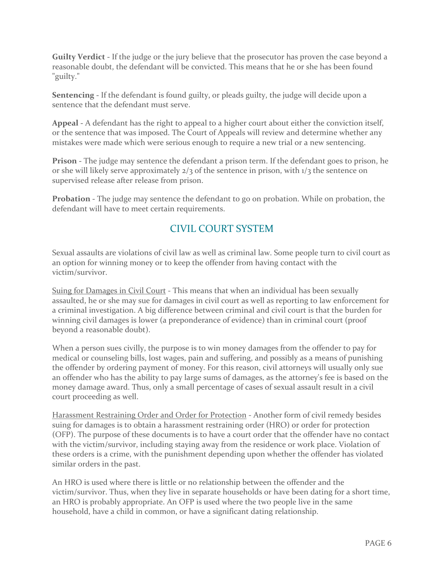**Guilty Verdict -** If the judge or the jury believe that the prosecutor has proven the case beyond a reasonable doubt, the defendant will be convicted. This means that he or she has been found "guilty."

**Sentencing -** If the defendant is found guilty, or pleads guilty, the judge will decide upon a sentence that the defendant must serve.

**Appeal -** A defendant has the right to appeal to a higher court about either the conviction itself, or the sentence that was imposed. The Court of Appeals will review and determine whether any mistakes were made which were serious enough to require a new trial or a new sentencing.

**Prison -** The judge may sentence the defendant a prison term. If the defendant goes to prison, he or she will likely serve approximately  $2/3$  of the sentence in prison, with  $1/3$  the sentence on supervised release after release from prison.

**Probation -** The judge may sentence the defendant to go on probation. While on probation, the defendant will have to meet certain requirements.

## CIVIL COURT SYSTEM

Sexual assaults are violations of civil law as well as criminal law. Some people turn to civil court as an option for winning money or to keep the offender from having contact with the victim/survivor.

Suing for Damages in Civil Court - This means that when an individual has been sexually assaulted, he or she may sue for damages in civil court as well as reporting to law enforcement for a criminal investigation. A big difference between criminal and civil court is that the burden for winning civil damages is lower (a preponderance of evidence) than in criminal court (proof beyond a reasonable doubt).

When a person sues civilly, the purpose is to win money damages from the offender to pay for medical or counseling bills, lost wages, pain and suffering, and possibly as a means of punishing the offender by ordering payment of money. For this reason, civil attorneys will usually only sue an offender who has the ability to pay large sums of damages, as the attorney's fee is based on the money damage award. Thus, only a small percentage of cases of sexual assault result in a civil court proceeding as well.

Harassment Restraining Order and Order for Protection - Another form of civil remedy besides suing for damages is to obtain a harassment restraining order (HRO) or order for protection (OFP). The purpose of these documents is to have a court order that the offender have no contact with the victim/survivor, including staying away from the residence or work place. Violation of these orders is a crime, with the punishment depending upon whether the offender has violated similar orders in the past.

An HRO is used where there is little or no relationship between the offender and the victim/survivor. Thus, when they live in separate households or have been dating for a short time, an HRO is probably appropriate. An OFP is used where the two people live in the same household, have a child in common, or have a significant dating relationship.